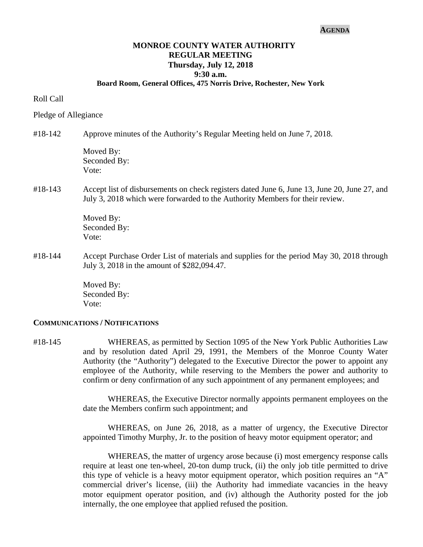#### **AGENDA**

# **MONROE COUNTY WATER AUTHORITY REGULAR MEETING Thursday, July 12, 2018 9:30 a.m.**

## **Board Room, General Offices, 475 Norris Drive, Rochester, New York**

#### Roll Call

#### Pledge of Allegiance

#18-142 Approve minutes of the Authority's Regular Meeting held on June 7, 2018.

Moved By: Seconded By: Vote:

#18-143 Accept list of disbursements on check registers dated June 6, June 13, June 20, June 27, and July 3, 2018 which were forwarded to the Authority Members for their review.

> Moved By: Seconded By: Vote:

#18-144 Accept Purchase Order List of materials and supplies for the period May 30, 2018 through July 3, 2018 in the amount of \$282,094.47.

> Moved By: Seconded By: Vote:

#### **COMMUNICATIONS / NOTIFICATIONS**

#18-145 WHEREAS, as permitted by Section 1095 of the New York Public Authorities Law and by resolution dated April 29, 1991, the Members of the Monroe County Water Authority (the "Authority") delegated to the Executive Director the power to appoint any employee of the Authority, while reserving to the Members the power and authority to confirm or deny confirmation of any such appointment of any permanent employees; and

> WHEREAS, the Executive Director normally appoints permanent employees on the date the Members confirm such appointment; and

> WHEREAS, on June 26, 2018, as a matter of urgency, the Executive Director appointed Timothy Murphy, Jr. to the position of heavy motor equipment operator; and

> WHEREAS, the matter of urgency arose because (i) most emergency response calls require at least one ten-wheel, 20-ton dump truck, (ii) the only job title permitted to drive this type of vehicle is a heavy motor equipment operator, which position requires an "A" commercial driver's license, (iii) the Authority had immediate vacancies in the heavy motor equipment operator position, and (iv) although the Authority posted for the job internally, the one employee that applied refused the position.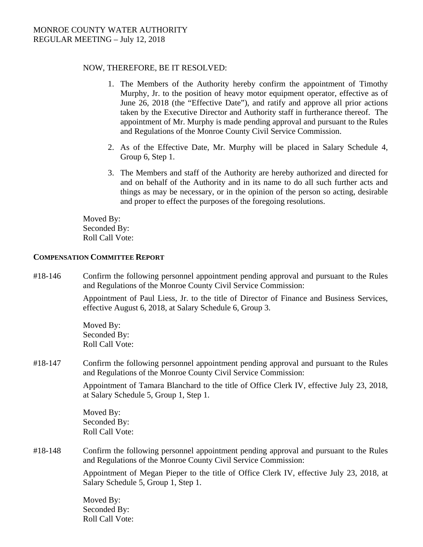### NOW, THEREFORE, BE IT RESOLVED:

- 1. The Members of the Authority hereby confirm the appointment of Timothy Murphy, Jr. to the position of heavy motor equipment operator, effective as of June 26, 2018 (the "Effective Date"), and ratify and approve all prior actions taken by the Executive Director and Authority staff in furtherance thereof. The appointment of Mr. Murphy is made pending approval and pursuant to the Rules and Regulations of the Monroe County Civil Service Commission.
- 2. As of the Effective Date, Mr. Murphy will be placed in Salary Schedule 4, Group 6, Step 1.
- 3. The Members and staff of the Authority are hereby authorized and directed for and on behalf of the Authority and in its name to do all such further acts and things as may be necessary, or in the opinion of the person so acting, desirable and proper to effect the purposes of the foregoing resolutions.

Moved By: Seconded By: Roll Call Vote:

### **COMPENSATION COMMITTEE REPORT**

#18-146 Confirm the following personnel appointment pending approval and pursuant to the Rules and Regulations of the Monroe County Civil Service Commission:

> Appointment of Paul Liess, Jr. to the title of Director of Finance and Business Services, effective August 6, 2018, at Salary Schedule 6, Group 3.

Moved By: Seconded By: Roll Call Vote:

#18-147 Confirm the following personnel appointment pending approval and pursuant to the Rules and Regulations of the Monroe County Civil Service Commission:

> Appointment of Tamara Blanchard to the title of Office Clerk IV, effective July 23, 2018, at Salary Schedule 5, Group 1, Step 1.

Moved By: Seconded By: Roll Call Vote:

#18-148 Confirm the following personnel appointment pending approval and pursuant to the Rules and Regulations of the Monroe County Civil Service Commission:

> Appointment of Megan Pieper to the title of Office Clerk IV, effective July 23, 2018, at Salary Schedule 5, Group 1, Step 1.

Moved By: Seconded By: Roll Call Vote: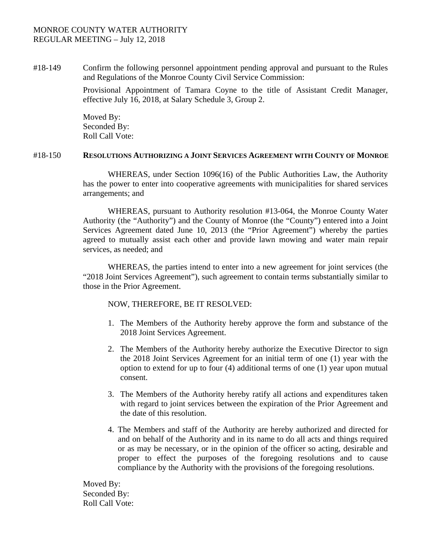## MONROE COUNTY WATER AUTHORITY REGULAR MEETING – July 12, 2018

#18-149 Confirm the following personnel appointment pending approval and pursuant to the Rules and Regulations of the Monroe County Civil Service Commission:

> Provisional Appointment of Tamara Coyne to the title of Assistant Credit Manager, effective July 16, 2018, at Salary Schedule 3, Group 2.

Moved By: Seconded By: Roll Call Vote:

#### #18-150 **RESOLUTIONS AUTHORIZING A JOINT SERVICES AGREEMENT WITH COUNTY OF MONROE**

WHEREAS, under Section 1096(16) of the Public Authorities Law, the Authority has the power to enter into cooperative agreements with municipalities for shared services arrangements; and

WHEREAS, pursuant to Authority resolution #13-064, the Monroe County Water Authority (the "Authority") and the County of Monroe (the "County") entered into a Joint Services Agreement dated June 10, 2013 (the "Prior Agreement") whereby the parties agreed to mutually assist each other and provide lawn mowing and water main repair services, as needed; and

WHEREAS, the parties intend to enter into a new agreement for joint services (the "2018 Joint Services Agreement"), such agreement to contain terms substantially similar to those in the Prior Agreement.

## NOW, THEREFORE, BE IT RESOLVED:

- 1. The Members of the Authority hereby approve the form and substance of the 2018 Joint Services Agreement.
- 2. The Members of the Authority hereby authorize the Executive Director to sign the 2018 Joint Services Agreement for an initial term of one (1) year with the option to extend for up to four (4) additional terms of one (1) year upon mutual consent.
- 3. The Members of the Authority hereby ratify all actions and expenditures taken with regard to joint services between the expiration of the Prior Agreement and the date of this resolution.
- 4. The Members and staff of the Authority are hereby authorized and directed for and on behalf of the Authority and in its name to do all acts and things required or as may be necessary, or in the opinion of the officer so acting, desirable and proper to effect the purposes of the foregoing resolutions and to cause compliance by the Authority with the provisions of the foregoing resolutions.

Moved By: Seconded By: Roll Call Vote: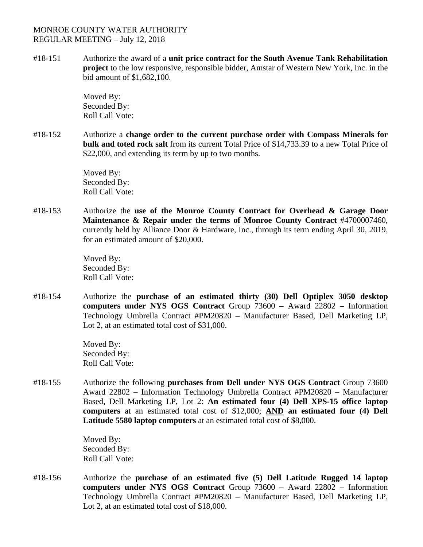### MONROE COUNTY WATER AUTHORITY REGULAR MEETING – July 12, 2018

#18-151 Authorize the award of a **unit price contract for the South Avenue Tank Rehabilitation project** to the low responsive, responsible bidder, Amstar of Western New York, Inc. in the bid amount of \$1,682,100.

> Moved By: Seconded By: Roll Call Vote:

#18-152 Authorize a **change order to the current purchase order with Compass Minerals for bulk and toted rock salt** from its current Total Price of \$14,733.39 to a new Total Price of \$22,000, and extending its term by up to two months.

> Moved By: Seconded By: Roll Call Vote:

#18-153 Authorize the **use of the Monroe County Contract for Overhead & Garage Door Maintenance & Repair under the terms of Monroe County Contract** #4700007460, currently held by Alliance Door & Hardware, Inc., through its term ending April 30, 2019, for an estimated amount of \$20,000.

> Moved By: Seconded By: Roll Call Vote:

#18-154 Authorize the **purchase of an estimated thirty (30) Dell Optiplex 3050 desktop computers under NYS OGS Contract** Group 73600 – Award 22802 – Information Technology Umbrella Contract #PM20820 – Manufacturer Based, Dell Marketing LP, Lot 2, at an estimated total cost of \$31,000.

> Moved By: Seconded By: Roll Call Vote:

#18-155 Authorize the following **purchases from Dell under NYS OGS Contract** Group 73600 Award 22802 – Information Technology Umbrella Contract #PM20820 – Manufacturer Based, Dell Marketing LP, Lot 2: **An estimated four (4) Dell XPS-15 office laptop computers** at an estimated total cost of \$12,000; **AND an estimated four (4) Dell Latitude 5580 laptop computers** at an estimated total cost of \$8,000.

> Moved By: Seconded By: Roll Call Vote:

#18-156 Authorize the **purchase of an estimated five (5) Dell Latitude Rugged 14 laptop computers under NYS OGS Contract** Group 73600 – Award 22802 – Information Technology Umbrella Contract #PM20820 – Manufacturer Based, Dell Marketing LP, Lot 2, at an estimated total cost of \$18,000.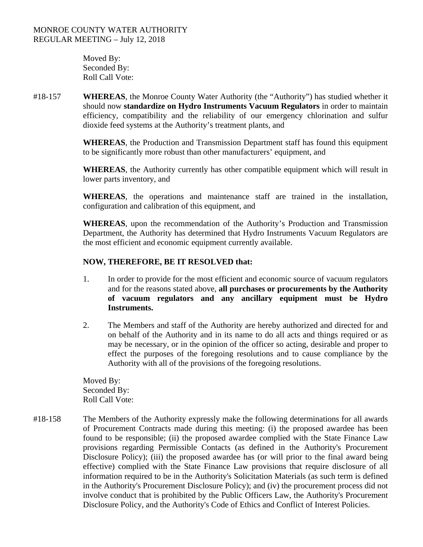Moved By: Seconded By: Roll Call Vote:

#18-157 **WHEREAS**, the Monroe County Water Authority (the "Authority") has studied whether it should now **standardize on Hydro Instruments Vacuum Regulators** in order to maintain efficiency, compatibility and the reliability of our emergency chlorination and sulfur dioxide feed systems at the Authority's treatment plants, and

> **WHEREAS**, the Production and Transmission Department staff has found this equipment to be significantly more robust than other manufacturers' equipment, and

> **WHEREAS**, the Authority currently has other compatible equipment which will result in lower parts inventory, and

> **WHEREAS**, the operations and maintenance staff are trained in the installation, configuration and calibration of this equipment, and

> **WHEREAS**, upon the recommendation of the Authority's Production and Transmission Department, the Authority has determined that Hydro Instruments Vacuum Regulators are the most efficient and economic equipment currently available.

# **NOW, THEREFORE, BE IT RESOLVED that:**

- 1. In order to provide for the most efficient and economic source of vacuum regulators and for the reasons stated above, **all purchases or procurements by the Authority of vacuum regulators and any ancillary equipment must be Hydro Instruments.**
- 2. The Members and staff of the Authority are hereby authorized and directed for and on behalf of the Authority and in its name to do all acts and things required or as may be necessary, or in the opinion of the officer so acting, desirable and proper to effect the purposes of the foregoing resolutions and to cause compliance by the Authority with all of the provisions of the foregoing resolutions.

Moved By: Seconded By: Roll Call Vote:

#18-158 The Members of the Authority expressly make the following determinations for all awards of Procurement Contracts made during this meeting: (i) the proposed awardee has been found to be responsible; (ii) the proposed awardee complied with the State Finance Law provisions regarding Permissible Contacts (as defined in the Authority's Procurement Disclosure Policy); (iii) the proposed awardee has (or will prior to the final award being effective) complied with the State Finance Law provisions that require disclosure of all information required to be in the Authority's Solicitation Materials (as such term is defined in the Authority's Procurement Disclosure Policy); and (iv) the procurement process did not involve conduct that is prohibited by the Public Officers Law, the Authority's Procurement Disclosure Policy, and the Authority's Code of Ethics and Conflict of Interest Policies.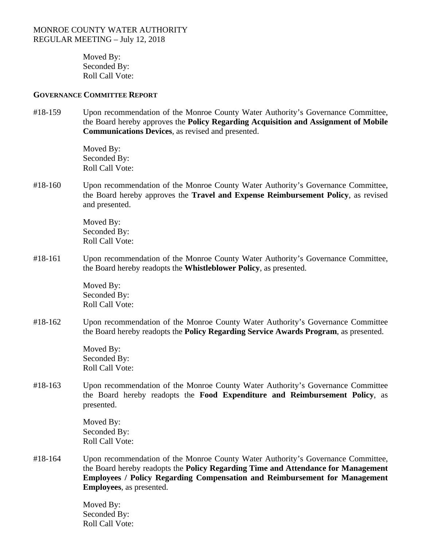Moved By: Seconded By: Roll Call Vote:

#### **GOVERNANCE COMMITTEE REPORT**

#18-159 Upon recommendation of the Monroe County Water Authority's Governance Committee, the Board hereby approves the **Policy Regarding Acquisition and Assignment of Mobile Communications Devices**, as revised and presented.

> Moved By: Seconded By: Roll Call Vote:

#18-160 Upon recommendation of the Monroe County Water Authority's Governance Committee, the Board hereby approves the **Travel and Expense Reimbursement Policy**, as revised and presented.

> Moved By: Seconded By: Roll Call Vote:

#18-161 Upon recommendation of the Monroe County Water Authority's Governance Committee, the Board hereby readopts the **Whistleblower Policy**, as presented.

> Moved By: Seconded By: Roll Call Vote:

#18-162 Upon recommendation of the Monroe County Water Authority's Governance Committee the Board hereby readopts the **Policy Regarding Service Awards Program**, as presented.

> Moved By: Seconded By: Roll Call Vote:

#18-163 Upon recommendation of the Monroe County Water Authority's Governance Committee the Board hereby readopts the **Food Expenditure and Reimbursement Policy**, as presented.

> Moved By: Seconded By: Roll Call Vote:

#18-164 Upon recommendation of the Monroe County Water Authority's Governance Committee, the Board hereby readopts the **Policy Regarding Time and Attendance for Management Employees / Policy Regarding Compensation and Reimbursement for Management Employees**, as presented.

> Moved By: Seconded By: Roll Call Vote: